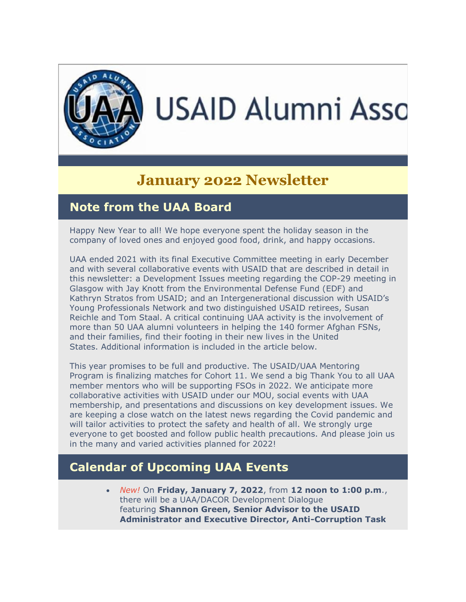

# **January 2022 Newsletter**

### **Note from the UAA Board**

Happy New Year to all! We hope everyone spent the holiday season in the company of loved ones and enjoyed good food, drink, and happy occasions.

UAA ended 2021 with its final Executive Committee meeting in early December and with several collaborative events with USAID that are described in detail in this newsletter: a Development Issues meeting regarding the COP-29 meeting in Glasgow with Jay Knott from the Environmental Defense Fund (EDF) and Kathryn Stratos from USAID; and an Intergenerational discussion with USAID's Young Professionals Network and two distinguished USAID retirees, Susan Reichle and Tom Staal. A critical continuing UAA activity is the involvement of more than 50 UAA alumni volunteers in helping the 140 former Afghan FSNs, and their families, find their footing in their new lives in the United States. Additional information is included in the article below.

This year promises to be full and productive. The USAID/UAA Mentoring Program is finalizing matches for Cohort 11. We send a big Thank You to all UAA member mentors who will be supporting FSOs in 2022. We anticipate more collaborative activities with USAID under our MOU, social events with UAA membership, and presentations and discussions on key development issues. We are keeping a close watch on the latest news regarding the Covid pandemic and will tailor activities to protect the safety and health of all. We strongly urge everyone to get boosted and follow public health precautions. And please join us in the many and varied activities planned for 2022!

## **Calendar of Upcoming UAA Events**

• *New!* On **Friday, January 7, 2022**, from **12 noon to 1:00 p.m**., there will be a UAA/DACOR Development Dialogue featuring **Shannon Green, Senior Advisor to the USAID Administrator and Executive Director, Anti-Corruption Task**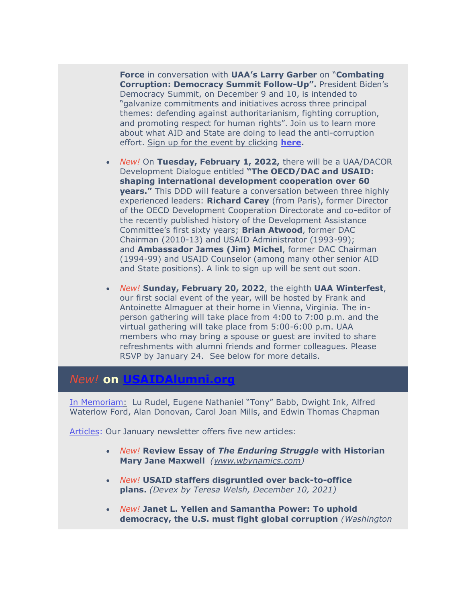**Force** in conversation with **UAA's Larry Garber** on "**Combating Corruption: Democracy Summit Follow-Up".** President Biden's Democracy Summit, on December 9 and 10, is intended to "galvanize commitments and initiatives across three principal themes: defending against authoritarianism, fighting corruption, and promoting respect for human rights". Join us to learn more about what AID and State are doing to lead the anti-corruption effort. Sign up for the event by clicking **[here.](https://na01.safelinks.protection.outlook.com/?url=https%3A%2F%2Fr20.rs6.net%2Ftn.jsp%3Ff%3D001jD6mFBLMW7Jq9EoLnv8caVRiy7YY0YXutCNU7v45oaAjTUKLUyDootq8IRuDJPaNvrcPb1DiBw3lO-FvZFgWocKBzexhYKMIeGuVwVDvIKhYJ7Hz1-slI9dDMkKdQ7dgUdtFivkABViO3w9terOO_t_8uuMLgHsaaxcYVhPCypkF-Xyad1dcDrQRxBFgBX2hu8rzzoLS5Tw%3D%26c%3DnRs1kFnEWB8P0-vJ-kYzoLLXdqJeeAuZWNq6Gdm5EGxcprxm5WQx6w%3D%3D%26ch%3D9A-btHemjeNBmcToTpNz6CjyicMu13d-ruVUX4j8q4mYwA8YCkBkmg%3D%3D&data=04%7C01%7C%7Cb3ff3c9bb29e4d2193d308d9cef3c17e%7C84df9e7fe9f640afb435aaaaaaaaaaaa%7C1%7C0%7C637768368603766166%7CUnknown%7CTWFpbGZsb3d8eyJWIjoiMC4wLjAwMDAiLCJQIjoiV2luMzIiLCJBTiI6Ik1haWwiLCJXVCI6Mn0%3D%7C3000&sdata=InastCmJ6oH2p%2BQvad8lqCoKYneBPMFoqYTN3zuHiWU%3D&reserved=0)**

- *New!* On **Tuesday, February 1, 2022,** there will be a UAA/DACOR Development Dialogue entitled **"The OECD/DAC and USAID: shaping international development cooperation over 60 years."** This DDD will feature a conversation between three highly experienced leaders: **Richard Carey** (from Paris), former Director of the OECD Development Cooperation Directorate and co-editor of the recently published history of the Development Assistance Committee's first sixty years; **Brian Atwood**, former DAC Chairman (2010-13) and USAID Administrator (1993-99); and **Ambassador James (Jim) Michel**, former DAC Chairman (1994-99) and USAID Counselor (among many other senior AID and State positions). A link to sign up will be sent out soon.
- *New!* **Sunday, February 20, 2022**, the eighth **UAA Winterfest**, our first social event of the year, will be hosted by Frank and Antoinette Almaguer at their home in Vienna, Virginia. The inperson gathering will take place from 4:00 to 7:00 p.m. and the virtual gathering will take place from 5:00-6:00 p.m. UAA members who may bring a spouse or guest are invited to share refreshments with alumni friends and former colleagues. Please RSVP by January 24. See below for more details.

#### *New!* **on [USAIDAlumni.org](http://usaidalumni.org/)**

[In Memoriam:](https://na01.safelinks.protection.outlook.com/?url=https%3A%2F%2Fr20.rs6.net%2Ftn.jsp%3Ff%3D001jD6mFBLMW7Jq9EoLnv8caVRiy7YY0YXutCNU7v45oaAjTUKLUyDoohj0GY4j0fQpNbSp4MqmYcyBikaG0R7JafzqnG050mLkCLOYgMDudTi08rrcuZjn0u2vpZMBjhi-pLGgPRsvI84IBmaxjPkP_H40npSh8GRp%26c%3DnRs1kFnEWB8P0-vJ-kYzoLLXdqJeeAuZWNq6Gdm5EGxcprxm5WQx6w%3D%3D%26ch%3D9A-btHemjeNBmcToTpNz6CjyicMu13d-ruVUX4j8q4mYwA8YCkBkmg%3D%3D&data=04%7C01%7C%7Cb3ff3c9bb29e4d2193d308d9cef3c17e%7C84df9e7fe9f640afb435aaaaaaaaaaaa%7C1%7C0%7C637768368603766166%7CUnknown%7CTWFpbGZsb3d8eyJWIjoiMC4wLjAwMDAiLCJQIjoiV2luMzIiLCJBTiI6Ik1haWwiLCJXVCI6Mn0%3D%7C3000&sdata=yUw4%2BOm9dF7%2FFMBXd4PSYaYJnDPw%2BewONHvu2IXFRIk%3D&reserved=0) Lu Rudel, Eugene Nathaniel "Tony" Babb, Dwight Ink, Alfred Waterlow Ford, Alan Donovan, Carol Joan Mills, and Edwin Thomas Chapman

[Articles:](https://na01.safelinks.protection.outlook.com/?url=https%3A%2F%2Fr20.rs6.net%2Ftn.jsp%3Ff%3D001jD6mFBLMW7Jq9EoLnv8caVRiy7YY0YXutCNU7v45oaAjTUKLUyDookmli-ErBcK010CryppFObm6FJqaw7PJqHzOk1aH0OITea4eihckIqyqPPse2x8lVm1dNRGKAffuwZ6J_vOtFL1zLrJaZROQLyBYS_-KsjZSATRdpzXieCpTcDJNzcHAEfrqf9_fG2Pd%26c%3DnRs1kFnEWB8P0-vJ-kYzoLLXdqJeeAuZWNq6Gdm5EGxcprxm5WQx6w%3D%3D%26ch%3D9A-btHemjeNBmcToTpNz6CjyicMu13d-ruVUX4j8q4mYwA8YCkBkmg%3D%3D&data=04%7C01%7C%7Cb3ff3c9bb29e4d2193d308d9cef3c17e%7C84df9e7fe9f640afb435aaaaaaaaaaaa%7C1%7C0%7C637768368603766166%7CUnknown%7CTWFpbGZsb3d8eyJWIjoiMC4wLjAwMDAiLCJQIjoiV2luMzIiLCJBTiI6Ik1haWwiLCJXVCI6Mn0%3D%7C3000&sdata=QnnrnDJ5dWSh%2Bc3Ek5nbxWGteDWCCbpSdmAMtT57GGA%3D&reserved=0) Our January newsletter offers five new articles:

- *New!* **Review Essay of** *The Enduring Struggle* **with Historian Mary Jane Maxwell** *[\(www.wbynamics.com\)](https://na01.safelinks.protection.outlook.com/?url=https%3A%2F%2Fr20.rs6.net%2Ftn.jsp%3Ff%3D001jD6mFBLMW7Jq9EoLnv8caVRiy7YY0YXutCNU7v45oaAjTUKLUyDoojK97gGqrlulqrDSw-TnIayaWbBSe88rTvYYvVcarsAPVD2Y5XfUXn2dL0P8aeKyONhiKMQ1Z5Fo9aqbkPxIu9ZnZjfkumu_dA%3D%3D%26c%3DnRs1kFnEWB8P0-vJ-kYzoLLXdqJeeAuZWNq6Gdm5EGxcprxm5WQx6w%3D%3D%26ch%3D9A-btHemjeNBmcToTpNz6CjyicMu13d-ruVUX4j8q4mYwA8YCkBkmg%3D%3D&data=04%7C01%7C%7Cb3ff3c9bb29e4d2193d308d9cef3c17e%7C84df9e7fe9f640afb435aaaaaaaaaaaa%7C1%7C0%7C637768368603766166%7CUnknown%7CTWFpbGZsb3d8eyJWIjoiMC4wLjAwMDAiLCJQIjoiV2luMzIiLCJBTiI6Ik1haWwiLCJXVCI6Mn0%3D%7C3000&sdata=C0U3%2FbTWwPnBQtvC5dYX27XXN0RFUjoEoW%2FW4g6Kd7s%3D&reserved=0)*
- *New!* **USAID staffers disgruntled over back-to-office plans.** *(Devex by Teresa Welsh, December 10, 2021)*
- *New!* **Janet L. Yellen and Samantha Power: To uphold democracy, the U.S. must fight global corruption** *(Washington*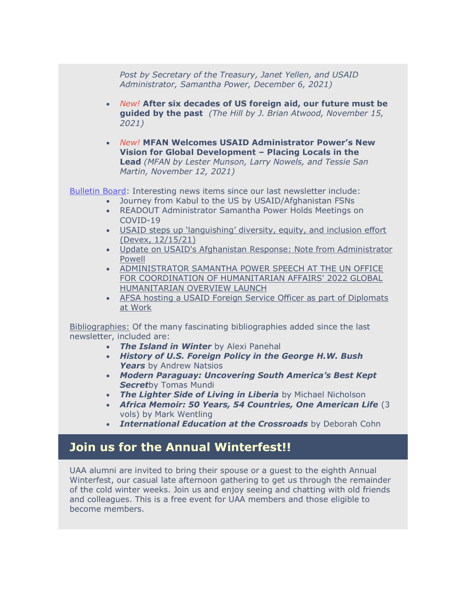*Post by Secretary of the Treasury, Janet Yellen, and USAID Administrator, Samantha Power, December 6, 2021)*

- *New!* **After six decades of US foreign aid, our future must be guided by the past** *(The Hill by J. Brian Atwood, November 15, 2021)*
- *New!* **MFAN Welcomes USAID Administrator Power's New Vision for Global Development – Placing Locals in the Lead** *(MFAN by Lester Munson, Larry Nowels, and Tessie San Martin, November 12, 2021)*

[Bulletin Board:](https://na01.safelinks.protection.outlook.com/?url=https%3A%2F%2Fr20.rs6.net%2Ftn.jsp%3Ff%3D001jD6mFBLMW7Jq9EoLnv8caVRiy7YY0YXutCNU7v45oaAjTUKLUyDookC053-rjzs1ooU-4miT3BqC3GfgxbAVIzPMbc_TZk4KwVSd5AijAqZ3AlswhpqmnUwJovWIEEr5kv5FssUdzpZW14PDjLxRmjNhO85PueiX0Fe0IrG3yl0%3D%26c%3DnRs1kFnEWB8P0-vJ-kYzoLLXdqJeeAuZWNq6Gdm5EGxcprxm5WQx6w%3D%3D%26ch%3D9A-btHemjeNBmcToTpNz6CjyicMu13d-ruVUX4j8q4mYwA8YCkBkmg%3D%3D&data=04%7C01%7C%7Cb3ff3c9bb29e4d2193d308d9cef3c17e%7C84df9e7fe9f640afb435aaaaaaaaaaaa%7C1%7C0%7C637768368603766166%7CUnknown%7CTWFpbGZsb3d8eyJWIjoiMC4wLjAwMDAiLCJQIjoiV2luMzIiLCJBTiI6Ik1haWwiLCJXVCI6Mn0%3D%7C3000&sdata=%2Frx3p0EewwWbUNM9GHzFYzmHRbqFtYV9K8q%2Fv3H3QyU%3D&reserved=0) Interesting news items since our last newsletter include:

- Journey from Kabul to the US by USAID/Afghanistan FSNs
- READOUT Administrator Samantha Power Holds Meetings on COVID-19
- [USAID steps up 'languishing' diversity, equity, and inclusion effort](https://na01.safelinks.protection.outlook.com/?url=https%3A%2F%2Fr20.rs6.net%2Ftn.jsp%3Ff%3D001jD6mFBLMW7Jq9EoLnv8caVRiy7YY0YXutCNU7v45oaAjTUKLUyDoojK97gGqrlulIdH23hYNFy9r2sqNw2Vg_-HI-M0y8Zv8DkmVMX6MFezPd5h52v_2mg7ZfF-z1NOGzhIE3bhAmtsAS-EQvg-I8pvmrKibJU-9wwgJUaAP1Pz0pIAwgOsqUNR4jBtuOB276MbVQUb4T93iJdHLnbvf9_Yu52rH4Vn64fW6PlgRe89h4h8z7W5YlmFWdnPvNAZaupVbX8dURV7RZzpLtrDE58wMlLlGJSqb%26c%3DnRs1kFnEWB8P0-vJ-kYzoLLXdqJeeAuZWNq6Gdm5EGxcprxm5WQx6w%3D%3D%26ch%3D9A-btHemjeNBmcToTpNz6CjyicMu13d-ruVUX4j8q4mYwA8YCkBkmg%3D%3D&data=04%7C01%7C%7Cb3ff3c9bb29e4d2193d308d9cef3c17e%7C84df9e7fe9f640afb435aaaaaaaaaaaa%7C1%7C0%7C637768368603766166%7CUnknown%7CTWFpbGZsb3d8eyJWIjoiMC4wLjAwMDAiLCJQIjoiV2luMzIiLCJBTiI6Ik1haWwiLCJXVCI6Mn0%3D%7C3000&sdata=fNOzbKEMZ%2FGeI1uKzTF1mJiBX8EC%2Bo%2BikjmryLDkuaM%3D&reserved=0)  [\(Devex, 12/15/21\)](https://na01.safelinks.protection.outlook.com/?url=https%3A%2F%2Fr20.rs6.net%2Ftn.jsp%3Ff%3D001jD6mFBLMW7Jq9EoLnv8caVRiy7YY0YXutCNU7v45oaAjTUKLUyDoojK97gGqrlulIdH23hYNFy9r2sqNw2Vg_-HI-M0y8Zv8DkmVMX6MFezPd5h52v_2mg7ZfF-z1NOGzhIE3bhAmtsAS-EQvg-I8pvmrKibJU-9wwgJUaAP1Pz0pIAwgOsqUNR4jBtuOB276MbVQUb4T93iJdHLnbvf9_Yu52rH4Vn64fW6PlgRe89h4h8z7W5YlmFWdnPvNAZaupVbX8dURV7RZzpLtrDE58wMlLlGJSqb%26c%3DnRs1kFnEWB8P0-vJ-kYzoLLXdqJeeAuZWNq6Gdm5EGxcprxm5WQx6w%3D%3D%26ch%3D9A-btHemjeNBmcToTpNz6CjyicMu13d-ruVUX4j8q4mYwA8YCkBkmg%3D%3D&data=04%7C01%7C%7Cb3ff3c9bb29e4d2193d308d9cef3c17e%7C84df9e7fe9f640afb435aaaaaaaaaaaa%7C1%7C0%7C637768368603766166%7CUnknown%7CTWFpbGZsb3d8eyJWIjoiMC4wLjAwMDAiLCJQIjoiV2luMzIiLCJBTiI6Ik1haWwiLCJXVCI6Mn0%3D%7C3000&sdata=fNOzbKEMZ%2FGeI1uKzTF1mJiBX8EC%2Bo%2BikjmryLDkuaM%3D&reserved=0)
- [Update on USAID's Afghanistan Response: Note from Administrator](https://na01.safelinks.protection.outlook.com/?url=https%3A%2F%2Fr20.rs6.net%2Ftn.jsp%3Ff%3D001jD6mFBLMW7Jq9EoLnv8caVRiy7YY0YXutCNU7v45oaAjTUKLUyDoojK97gGqrlulWw5rJxGgMy2bwzoxpLapj3gMkksUp25H7lQvKq40N8mnn_OCB1-Ul4Ofpfxge7TaxCDbfaz3FIQuqTj9I4mR0ZVCjeD9meV3JAztn6iMdQ6kZPVnuOmmQvZKnVkT3LPV92qwE4fKn302z7-cHh18gyAj_UN3j6DLSh26dkolVgLRnSX_mZJKGAziRFupESL1qN0az8dqW-FBuH09kqZ1ug%3D%3D%26c%3DnRs1kFnEWB8P0-vJ-kYzoLLXdqJeeAuZWNq6Gdm5EGxcprxm5WQx6w%3D%3D%26ch%3D9A-btHemjeNBmcToTpNz6CjyicMu13d-ruVUX4j8q4mYwA8YCkBkmg%3D%3D&data=04%7C01%7C%7Cb3ff3c9bb29e4d2193d308d9cef3c17e%7C84df9e7fe9f640afb435aaaaaaaaaaaa%7C1%7C0%7C637768368603922403%7CUnknown%7CTWFpbGZsb3d8eyJWIjoiMC4wLjAwMDAiLCJQIjoiV2luMzIiLCJBTiI6Ik1haWwiLCJXVCI6Mn0%3D%7C3000&sdata=fDblSk8AhtziN1sIjdWT8Q0q3U7P2IFhqs90EW8xMR4%3D&reserved=0)  [Powell](https://na01.safelinks.protection.outlook.com/?url=https%3A%2F%2Fr20.rs6.net%2Ftn.jsp%3Ff%3D001jD6mFBLMW7Jq9EoLnv8caVRiy7YY0YXutCNU7v45oaAjTUKLUyDoojK97gGqrlulWw5rJxGgMy2bwzoxpLapj3gMkksUp25H7lQvKq40N8mnn_OCB1-Ul4Ofpfxge7TaxCDbfaz3FIQuqTj9I4mR0ZVCjeD9meV3JAztn6iMdQ6kZPVnuOmmQvZKnVkT3LPV92qwE4fKn302z7-cHh18gyAj_UN3j6DLSh26dkolVgLRnSX_mZJKGAziRFupESL1qN0az8dqW-FBuH09kqZ1ug%3D%3D%26c%3DnRs1kFnEWB8P0-vJ-kYzoLLXdqJeeAuZWNq6Gdm5EGxcprxm5WQx6w%3D%3D%26ch%3D9A-btHemjeNBmcToTpNz6CjyicMu13d-ruVUX4j8q4mYwA8YCkBkmg%3D%3D&data=04%7C01%7C%7Cb3ff3c9bb29e4d2193d308d9cef3c17e%7C84df9e7fe9f640afb435aaaaaaaaaaaa%7C1%7C0%7C637768368603922403%7CUnknown%7CTWFpbGZsb3d8eyJWIjoiMC4wLjAwMDAiLCJQIjoiV2luMzIiLCJBTiI6Ik1haWwiLCJXVCI6Mn0%3D%7C3000&sdata=fDblSk8AhtziN1sIjdWT8Q0q3U7P2IFhqs90EW8xMR4%3D&reserved=0)
- [ADMINISTRATOR SAMANTHA POWER SPEECH AT THE UN OFFICE](https://na01.safelinks.protection.outlook.com/?url=https%3A%2F%2Fr20.rs6.net%2Ftn.jsp%3Ff%3D001jD6mFBLMW7Jq9EoLnv8caVRiy7YY0YXutCNU7v45oaAjTUKLUyDoojK97gGqrlulFQxzAYoAbvrLO6wqDIFMdYp3nBzTvGMpzYIuA98UaEGc07vmv99nw5OLCiPi21Bmtfu080k7H4OPi2EeiW1G2ScNsFqxvzFdJGblu2hm5HNpRBxIgz3Rb0c8F0QhQgu3zDvzsrWdMSeVyrCPjnzWQTehcwSTBeERSuPp10U-F1zlG7w0Q7A-4r5jy5eCwlVOe6l6bH6uvBlobHf8-qFWpO8OvkBnET88ZGLw9iVpar5kJT1y70jHiVCGittqu9GeHmCgBC7oOX3-hBocuEuKog0qcVaJOhhKJil2WQxlm2U%3D%26c%3DnRs1kFnEWB8P0-vJ-kYzoLLXdqJeeAuZWNq6Gdm5EGxcprxm5WQx6w%3D%3D%26ch%3D9A-btHemjeNBmcToTpNz6CjyicMu13d-ruVUX4j8q4mYwA8YCkBkmg%3D%3D&data=04%7C01%7C%7Cb3ff3c9bb29e4d2193d308d9cef3c17e%7C84df9e7fe9f640afb435aaaaaaaaaaaa%7C1%7C0%7C637768368603922403%7CUnknown%7CTWFpbGZsb3d8eyJWIjoiMC4wLjAwMDAiLCJQIjoiV2luMzIiLCJBTiI6Ik1haWwiLCJXVCI6Mn0%3D%7C3000&sdata=jGdqJM423Y3b%2F5n4uPkXGkaGIsBAsBgiRAwZ5ugknig%3D&reserved=0)  [FOR COORDINATION OF HUMANITARIAN AFFAIRS' 2022 GLOBAL](https://na01.safelinks.protection.outlook.com/?url=https%3A%2F%2Fr20.rs6.net%2Ftn.jsp%3Ff%3D001jD6mFBLMW7Jq9EoLnv8caVRiy7YY0YXutCNU7v45oaAjTUKLUyDoojK97gGqrlulFQxzAYoAbvrLO6wqDIFMdYp3nBzTvGMpzYIuA98UaEGc07vmv99nw5OLCiPi21Bmtfu080k7H4OPi2EeiW1G2ScNsFqxvzFdJGblu2hm5HNpRBxIgz3Rb0c8F0QhQgu3zDvzsrWdMSeVyrCPjnzWQTehcwSTBeERSuPp10U-F1zlG7w0Q7A-4r5jy5eCwlVOe6l6bH6uvBlobHf8-qFWpO8OvkBnET88ZGLw9iVpar5kJT1y70jHiVCGittqu9GeHmCgBC7oOX3-hBocuEuKog0qcVaJOhhKJil2WQxlm2U%3D%26c%3DnRs1kFnEWB8P0-vJ-kYzoLLXdqJeeAuZWNq6Gdm5EGxcprxm5WQx6w%3D%3D%26ch%3D9A-btHemjeNBmcToTpNz6CjyicMu13d-ruVUX4j8q4mYwA8YCkBkmg%3D%3D&data=04%7C01%7C%7Cb3ff3c9bb29e4d2193d308d9cef3c17e%7C84df9e7fe9f640afb435aaaaaaaaaaaa%7C1%7C0%7C637768368603922403%7CUnknown%7CTWFpbGZsb3d8eyJWIjoiMC4wLjAwMDAiLCJQIjoiV2luMzIiLCJBTiI6Ik1haWwiLCJXVCI6Mn0%3D%7C3000&sdata=jGdqJM423Y3b%2F5n4uPkXGkaGIsBAsBgiRAwZ5ugknig%3D&reserved=0) [HUMANITARIAN OVERVIEW LAUNCH](https://na01.safelinks.protection.outlook.com/?url=https%3A%2F%2Fr20.rs6.net%2Ftn.jsp%3Ff%3D001jD6mFBLMW7Jq9EoLnv8caVRiy7YY0YXutCNU7v45oaAjTUKLUyDoojK97gGqrlulFQxzAYoAbvrLO6wqDIFMdYp3nBzTvGMpzYIuA98UaEGc07vmv99nw5OLCiPi21Bmtfu080k7H4OPi2EeiW1G2ScNsFqxvzFdJGblu2hm5HNpRBxIgz3Rb0c8F0QhQgu3zDvzsrWdMSeVyrCPjnzWQTehcwSTBeERSuPp10U-F1zlG7w0Q7A-4r5jy5eCwlVOe6l6bH6uvBlobHf8-qFWpO8OvkBnET88ZGLw9iVpar5kJT1y70jHiVCGittqu9GeHmCgBC7oOX3-hBocuEuKog0qcVaJOhhKJil2WQxlm2U%3D%26c%3DnRs1kFnEWB8P0-vJ-kYzoLLXdqJeeAuZWNq6Gdm5EGxcprxm5WQx6w%3D%3D%26ch%3D9A-btHemjeNBmcToTpNz6CjyicMu13d-ruVUX4j8q4mYwA8YCkBkmg%3D%3D&data=04%7C01%7C%7Cb3ff3c9bb29e4d2193d308d9cef3c17e%7C84df9e7fe9f640afb435aaaaaaaaaaaa%7C1%7C0%7C637768368603922403%7CUnknown%7CTWFpbGZsb3d8eyJWIjoiMC4wLjAwMDAiLCJQIjoiV2luMzIiLCJBTiI6Ik1haWwiLCJXVCI6Mn0%3D%7C3000&sdata=jGdqJM423Y3b%2F5n4uPkXGkaGIsBAsBgiRAwZ5ugknig%3D&reserved=0)
- [AFSA hosting a USAID Foreign Service Officer as part of Diplomats](https://na01.safelinks.protection.outlook.com/?url=https%3A%2F%2Fr20.rs6.net%2Ftn.jsp%3Ff%3D001jD6mFBLMW7Jq9EoLnv8caVRiy7YY0YXutCNU7v45oaAjTUKLUyDoojK97gGqrlulacuzDJc2X_ekpuB-dMFQLpuU44RHuIpVWI5hmFxC5FjCdjgE8NqMvZIC1ydjXIcgbNoKHUrB9mGnvzAy9d8mHFDbxVBgecQuR7-RrBTBSj-SWhKZhoNMRl2hcAqfv8Gc61kYVy8CiGOeLHO29Vjn8OIxG9I97rxUcwcD0FbRsgvYGQ1cq_EuwpsSCDNwDeFb1pc8nFfnhowDyp-1N4LZWg%3D%3D%26c%3DnRs1kFnEWB8P0-vJ-kYzoLLXdqJeeAuZWNq6Gdm5EGxcprxm5WQx6w%3D%3D%26ch%3D9A-btHemjeNBmcToTpNz6CjyicMu13d-ruVUX4j8q4mYwA8YCkBkmg%3D%3D&data=04%7C01%7C%7Cb3ff3c9bb29e4d2193d308d9cef3c17e%7C84df9e7fe9f640afb435aaaaaaaaaaaa%7C1%7C0%7C637768368603922403%7CUnknown%7CTWFpbGZsb3d8eyJWIjoiMC4wLjAwMDAiLCJQIjoiV2luMzIiLCJBTiI6Ik1haWwiLCJXVCI6Mn0%3D%7C3000&sdata=noKyBN1U8GKRV43pYJX2bK7iQBZuL2ETnvIpQPnukD8%3D&reserved=0)  [at Work](https://na01.safelinks.protection.outlook.com/?url=https%3A%2F%2Fr20.rs6.net%2Ftn.jsp%3Ff%3D001jD6mFBLMW7Jq9EoLnv8caVRiy7YY0YXutCNU7v45oaAjTUKLUyDoojK97gGqrlulacuzDJc2X_ekpuB-dMFQLpuU44RHuIpVWI5hmFxC5FjCdjgE8NqMvZIC1ydjXIcgbNoKHUrB9mGnvzAy9d8mHFDbxVBgecQuR7-RrBTBSj-SWhKZhoNMRl2hcAqfv8Gc61kYVy8CiGOeLHO29Vjn8OIxG9I97rxUcwcD0FbRsgvYGQ1cq_EuwpsSCDNwDeFb1pc8nFfnhowDyp-1N4LZWg%3D%3D%26c%3DnRs1kFnEWB8P0-vJ-kYzoLLXdqJeeAuZWNq6Gdm5EGxcprxm5WQx6w%3D%3D%26ch%3D9A-btHemjeNBmcToTpNz6CjyicMu13d-ruVUX4j8q4mYwA8YCkBkmg%3D%3D&data=04%7C01%7C%7Cb3ff3c9bb29e4d2193d308d9cef3c17e%7C84df9e7fe9f640afb435aaaaaaaaaaaa%7C1%7C0%7C637768368603922403%7CUnknown%7CTWFpbGZsb3d8eyJWIjoiMC4wLjAwMDAiLCJQIjoiV2luMzIiLCJBTiI6Ik1haWwiLCJXVCI6Mn0%3D%7C3000&sdata=noKyBN1U8GKRV43pYJX2bK7iQBZuL2ETnvIpQPnukD8%3D&reserved=0)

[Bibliographies:](https://na01.safelinks.protection.outlook.com/?url=https%3A%2F%2Fr20.rs6.net%2Ftn.jsp%3Ff%3D001jD6mFBLMW7Jq9EoLnv8caVRiy7YY0YXutCNU7v45oaAjTUKLUyDoohj0GY4j0fQpNodpywYjAMdooZus_aoi3pXp6G_rZ9xwdEnbZx0A6XIY1ZvXtPBm_NwVfSZs2J_dkuMOQ-eDehmOLNNFG8VBFwP66L3fTgT56nVXqqTzjD6pAgC-5lAnOCwFCt5oW-Bv%26c%3DnRs1kFnEWB8P0-vJ-kYzoLLXdqJeeAuZWNq6Gdm5EGxcprxm5WQx6w%3D%3D%26ch%3D9A-btHemjeNBmcToTpNz6CjyicMu13d-ruVUX4j8q4mYwA8YCkBkmg%3D%3D&data=04%7C01%7C%7Cb3ff3c9bb29e4d2193d308d9cef3c17e%7C84df9e7fe9f640afb435aaaaaaaaaaaa%7C1%7C0%7C637768368603922403%7CUnknown%7CTWFpbGZsb3d8eyJWIjoiMC4wLjAwMDAiLCJQIjoiV2luMzIiLCJBTiI6Ik1haWwiLCJXVCI6Mn0%3D%7C3000&sdata=Qp7kWW7zua8Dr%2F1lgsyxrRO4J3ux21%2F%2B2cvUCCTeQR0%3D&reserved=0) Of the many fascinating bibliographies added since the last newsletter, included are:

- *The Island in Winter* by Alexi Panehal
- *History of U.S. Foreign Policy in the George H.W. Bush Years* by Andrew Natsios
- *Modern Paraguay: Uncovering South America's Best Kept Secret*by Tomas Mundi
- *The Lighter Side of Living in Liberia* by Michael Nicholson
- *Africa Memoir: 50 Years, 54 Countries, One American Life* (3 vols) by Mark Wentling
- *International Education at the Crossroads* by Deborah Cohn

## **Join us for the Annual Winterfest!!**

UAA alumni are invited to bring their spouse or a guest to the eighth Annual Winterfest, our casual late afternoon gathering to get us through the remainder of the cold winter weeks. Join us and enjoy seeing and chatting with old friends and colleagues. This is a free event for UAA members and those eligible to become members.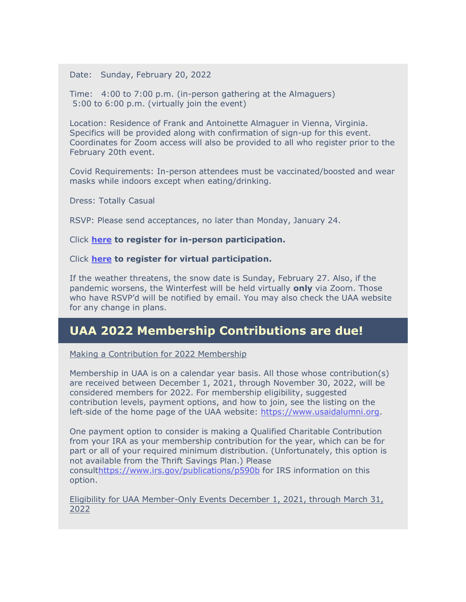Date: Sunday, February 20, 2022

Time: 4:00 to 7:00 p.m. (in-person gathering at the Almaguers) 5:00 to 6:00 p.m. (virtually join the event)

Location: Residence of Frank and Antoinette Almaguer in Vienna, Virginia. Specifics will be provided along with confirmation of sign-up for this event. Coordinates for Zoom access will also be provided to all who register prior to the February 20th event.

Covid Requirements: In-person attendees must be vaccinated/boosted and wear masks while indoors except when eating/drinking.

Dress: Totally Casual

RSVP: Please send acceptances, no later than Monday, January 24.

#### Click **[here](https://na01.safelinks.protection.outlook.com/?url=https%3A%2F%2Fr20.rs6.net%2Ftn.jsp%3Ff%3D001jD6mFBLMW7Jq9EoLnv8caVRiy7YY0YXutCNU7v45oaAjTUKLUyDoojK97gGqrluleUw-ld6I88sW0Kg3rIG1Vn9Y7BO7wyJQUuDpP8Ln5f4yhgqrJZgI_aOflL-_3hni0TxmIPgxoOtBrS5gnh6n_A%3D%3D%26c%3DnRs1kFnEWB8P0-vJ-kYzoLLXdqJeeAuZWNq6Gdm5EGxcprxm5WQx6w%3D%3D%26ch%3D9A-btHemjeNBmcToTpNz6CjyicMu13d-ruVUX4j8q4mYwA8YCkBkmg%3D%3D&data=04%7C01%7C%7Cb3ff3c9bb29e4d2193d308d9cef3c17e%7C84df9e7fe9f640afb435aaaaaaaaaaaa%7C1%7C0%7C637768368603922403%7CUnknown%7CTWFpbGZsb3d8eyJWIjoiMC4wLjAwMDAiLCJQIjoiV2luMzIiLCJBTiI6Ik1haWwiLCJXVCI6Mn0%3D%7C3000&sdata=xsSFmVxV0SigQYrDHfdSw0grAqWVdovPOMIqUyQRNCk%3D&reserved=0) to register for in-person participation.**

Click **[here](https://na01.safelinks.protection.outlook.com/?url=https%3A%2F%2Fr20.rs6.net%2Ftn.jsp%3Ff%3D001jD6mFBLMW7Jq9EoLnv8caVRiy7YY0YXutCNU7v45oaAjTUKLUyDoojK97gGqrlulr3DpCfVV73tsercj2dSKMXSQnQ058PbpN_xZmwvSJO1gXo4RDy2Zrytvo-mlbwlma76E_6F5VGMlGsVm0HAdIw%3D%3D%26c%3DnRs1kFnEWB8P0-vJ-kYzoLLXdqJeeAuZWNq6Gdm5EGxcprxm5WQx6w%3D%3D%26ch%3D9A-btHemjeNBmcToTpNz6CjyicMu13d-ruVUX4j8q4mYwA8YCkBkmg%3D%3D&data=04%7C01%7C%7Cb3ff3c9bb29e4d2193d308d9cef3c17e%7C84df9e7fe9f640afb435aaaaaaaaaaaa%7C1%7C0%7C637768368603922403%7CUnknown%7CTWFpbGZsb3d8eyJWIjoiMC4wLjAwMDAiLCJQIjoiV2luMzIiLCJBTiI6Ik1haWwiLCJXVCI6Mn0%3D%7C3000&sdata=CbyhEpqjKt501D4dgG%2Fj9YYY7QntPcWxfP%2FCCXNUaFo%3D&reserved=0) to register for virtual participation.**

If the weather threatens, the snow date is Sunday, February 27. Also, if the pandemic worsens, the Winterfest will be held virtually **only** via Zoom. Those who have RSVP'd will be notified by email. You may also check the UAA website for any change in plans.

#### **UAA 2022 Membership Contributions are due!**

Making a Contribution for 2022 Membership

Membership in UAA is on a calendar year basis. All those whose contribution(s) are received between December 1, 2021, through November 30, 2022, will be considered members for 2022. For membership eligibility, suggested contribution levels, payment options, and how to join, see the listing on the left side of the home page of the UAA website: [https://www.usaidalumni.org.](https://na01.safelinks.protection.outlook.com/?url=https%3A%2F%2Fr20.rs6.net%2Ftn.jsp%3Ff%3D001jD6mFBLMW7Jq9EoLnv8caVRiy7YY0YXutCNU7v45oaAjTUKLUyDookC053-rjzs1hpNLhmn5408YYrB6pqwnu7IHu3BSO5-PLTpJcJ6e2a334I_-LbYOYTJEEKofaWeLMc5RIgpXR88h58646SqNCg%3D%3D%26c%3DnRs1kFnEWB8P0-vJ-kYzoLLXdqJeeAuZWNq6Gdm5EGxcprxm5WQx6w%3D%3D%26ch%3D9A-btHemjeNBmcToTpNz6CjyicMu13d-ruVUX4j8q4mYwA8YCkBkmg%3D%3D&data=04%7C01%7C%7Cb3ff3c9bb29e4d2193d308d9cef3c17e%7C84df9e7fe9f640afb435aaaaaaaaaaaa%7C1%7C0%7C637768368603922403%7CUnknown%7CTWFpbGZsb3d8eyJWIjoiMC4wLjAwMDAiLCJQIjoiV2luMzIiLCJBTiI6Ik1haWwiLCJXVCI6Mn0%3D%7C3000&sdata=bXqULzOkwfcWspHrnrddjffAFZzfq%2BOjuMtRO4gch5w%3D&reserved=0)

One payment option to consider is making a Qualified Charitable Contribution from your IRA as your membership contribution for the year, which can be for part or all of your required minimum distribution. (Unfortunately, this option is not available from the Thrift Savings Plan.) Please

consul[thttps://www.irs.gov/publications/p590b](https://na01.safelinks.protection.outlook.com/?url=https%3A%2F%2Fr20.rs6.net%2Ftn.jsp%3Ff%3D001jD6mFBLMW7Jq9EoLnv8caVRiy7YY0YXutCNU7v45oaAjTUKLUyDoom9eHUQnYHhD5IwfzjBtPOZMUVAfJnH5IhzZVe0oSU39wHvJwVsz8kliKbit6BM-OzHnCBf4p7ztTMgH88bDfh_K6p7dCOVn0ctJZ4gwI7j---ZuX7uUIVI%3D%26c%3DnRs1kFnEWB8P0-vJ-kYzoLLXdqJeeAuZWNq6Gdm5EGxcprxm5WQx6w%3D%3D%26ch%3D9A-btHemjeNBmcToTpNz6CjyicMu13d-ruVUX4j8q4mYwA8YCkBkmg%3D%3D&data=04%7C01%7C%7Cb3ff3c9bb29e4d2193d308d9cef3c17e%7C84df9e7fe9f640afb435aaaaaaaaaaaa%7C1%7C0%7C637768368603922403%7CUnknown%7CTWFpbGZsb3d8eyJWIjoiMC4wLjAwMDAiLCJQIjoiV2luMzIiLCJBTiI6Ik1haWwiLCJXVCI6Mn0%3D%7C3000&sdata=CV7u4l2ZVOGAP487gJXxG8xShOPDFBS23kO35W0eOgM%3D&reserved=0) for IRS information on this option.

Eligibility for UAA Member-Only Events December 1, 2021, through March 31, 2022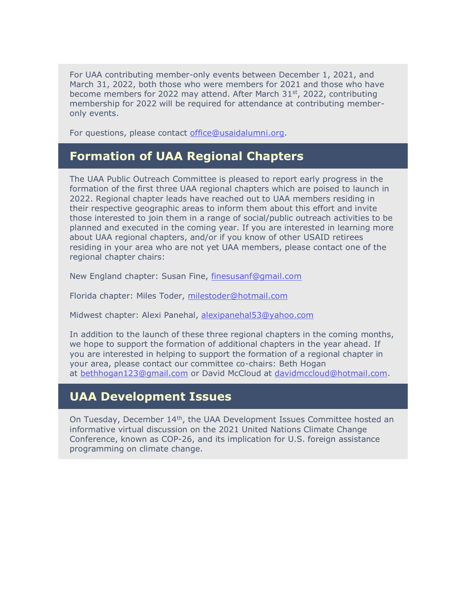For UAA contributing member-only events between December 1, 2021, and March 31, 2022, both those who were members for 2021 and those who have become members for 2022 may attend. After March 31<sup>st</sup>, 2022, contributing membership for 2022 will be required for attendance at contributing memberonly events.

For questions, please contact [office@usaidalumni.org.](mailto:office@usaidalumni.org)

#### **Formation of UAA Regional Chapters**

The UAA Public Outreach Committee is pleased to report early progress in the formation of the first three UAA regional chapters which are poised to launch in 2022. Regional chapter leads have reached out to UAA members residing in their respective geographic areas to inform them about this effort and invite those interested to join them in a range of social/public outreach activities to be planned and executed in the coming year. If you are interested in learning more about UAA regional chapters, and/or if you know of other USAID retirees residing in your area who are not yet UAA members, please contact one of the regional chapter chairs:

New England chapter: Susan Fine, [finesusanf@gmail.com](mailto:finesusanf@gmail.com)

Florida chapter: Miles Toder, [milestoder@hotmail.com](mailto:milestoder@hotmail.com)

Midwest chapter: Alexi Panehal, [alexipanehal53@yahoo.com](mailto:alexipanehal53@yahoo.com)

In addition to the launch of these three regional chapters in the coming months, we hope to support the formation of additional chapters in the year ahead. If you are interested in helping to support the formation of a regional chapter in your area, please contact our committee co-chairs: Beth Hogan at [bethhogan123@gmail.com](mailto:bethhogan123@gmail.com) or David McCloud at [davidmccloud@hotmail.com.](mailto:davidmccloud@hotmail.com)

#### **UAA Development Issues**

On Tuesday, December 14th, the UAA Development Issues Committee hosted an informative virtual discussion on the 2021 United Nations Climate Change Conference, known as COP-26, and its implication for U.S. foreign assistance programming on climate change.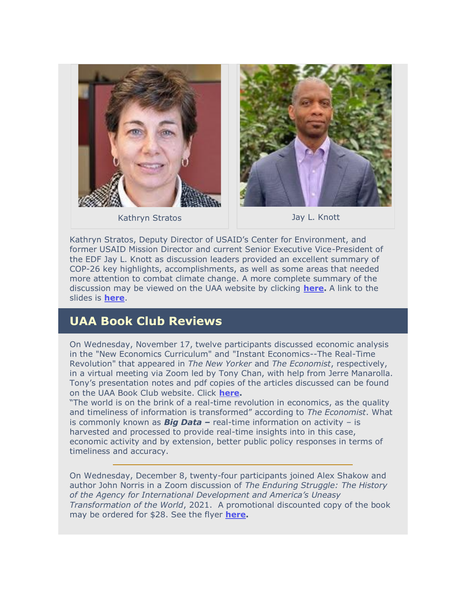



Kathryn Stratos **Jay L. Knott** 



Kathryn Stratos, Deputy Director of USAID's Center for Environment, and former USAID Mission Director and current Senior Executive Vice-President of the EDF Jay L. Knott as discussion leaders provided an excellent summary of COP-26 key highlights, accomplishments, as well as some areas that needed more attention to combat climate change. A more complete summary of the discussion may be viewed on the UAA website by clicking **[here.](https://na01.safelinks.protection.outlook.com/?url=https%3A%2F%2Fr20.rs6.net%2Ftn.jsp%3Ff%3D001jD6mFBLMW7Jq9EoLnv8caVRiy7YY0YXutCNU7v45oaAjTUKLUyDoojK97gGqrlulXw09RQDU-p3DzEmN89oHTF0Svch3JuLLTxKb8ih3ahDQTd_SGw_3U5SVPxr7C8PZ3RP0trK25umXcVtSM8-MxMGNmBM7rq4Sbl8Gon5pqlSCGOYrWp9PSmY5OPC0XReq3FE1slPXpVpe05YwoVYxprHFv95RCWfqu-iYsrS4BUlYaQog56UXZi0L9EWL1_cU%26c%3DnRs1kFnEWB8P0-vJ-kYzoLLXdqJeeAuZWNq6Gdm5EGxcprxm5WQx6w%3D%3D%26ch%3D9A-btHemjeNBmcToTpNz6CjyicMu13d-ruVUX4j8q4mYwA8YCkBkmg%3D%3D&data=04%7C01%7C%7Cb3ff3c9bb29e4d2193d308d9cef3c17e%7C84df9e7fe9f640afb435aaaaaaaaaaaa%7C1%7C0%7C637768368603922403%7CUnknown%7CTWFpbGZsb3d8eyJWIjoiMC4wLjAwMDAiLCJQIjoiV2luMzIiLCJBTiI6Ik1haWwiLCJXVCI6Mn0%3D%7C3000&sdata=HJTN9doVitOz7CnBdwK7hr9kqAwGsOvNz1AhzRgeTvk%3D&reserved=0)** A link to the slides is **[here](https://na01.safelinks.protection.outlook.com/?url=https%3A%2F%2Fr20.rs6.net%2Ftn.jsp%3Ff%3D001jD6mFBLMW7Jq9EoLnv8caVRiy7YY0YXutCNU7v45oaAjTUKLUyDoojK97gGqrlulxYGnyGhkV02o5b3FPpY8eFmb2zIgWBTU3roqDbjUaaPkAL1I1AZcVHux2ySWVthIL_Ej8Bq4fn_Xf58BVpynAuZ1kF5Sh99EIwt-Fs0gvQks7YgtEhpF39iXk3_tCgbKQZrSxhFaMsJjbIkDunaQ0YwR_d_FcSixWQl0YAhKOuLJlooWaUsAjvZE7Z-oP4HW%26c%3DnRs1kFnEWB8P0-vJ-kYzoLLXdqJeeAuZWNq6Gdm5EGxcprxm5WQx6w%3D%3D%26ch%3D9A-btHemjeNBmcToTpNz6CjyicMu13d-ruVUX4j8q4mYwA8YCkBkmg%3D%3D&data=04%7C01%7C%7Cb3ff3c9bb29e4d2193d308d9cef3c17e%7C84df9e7fe9f640afb435aaaaaaaaaaaa%7C1%7C0%7C637768368603922403%7CUnknown%7CTWFpbGZsb3d8eyJWIjoiMC4wLjAwMDAiLCJQIjoiV2luMzIiLCJBTiI6Ik1haWwiLCJXVCI6Mn0%3D%7C3000&sdata=n6BJvds6U%2F8rlrsbBwwQdJTfG0GJ64zXh6hV4MA0Glg%3D&reserved=0)**.

#### **UAA Book Club Reviews**

On Wednesday, November 17, twelve participants discussed economic analysis in the "New Economics Curriculum" and "Instant Economics--The Real-Time Revolution" that appeared in *The New Yorker* and *The Economist*, respectively, in a virtual meeting via Zoom led by Tony Chan, with help from Jerre Manarolla. Tony's presentation notes and pdf copies of the articles discussed can be found on the UAA Book Club website. Click **[here.](https://na01.safelinks.protection.outlook.com/?url=https%3A%2F%2Fr20.rs6.net%2Ftn.jsp%3Ff%3D001jD6mFBLMW7Jq9EoLnv8caVRiy7YY0YXutCNU7v45oaAjTUKLUyDoolZ6WCiEgo_PqnZLIsUG-PPMgjLhdb5-ZwSxFuo6845mYM511wBeQ0SrrroZma0HaYxso97fr76FOdisAKHPZE52eqXRfVab-oxb7EUQAt6_e6tcoX4UTt9chppMF3J5iw%3D%3D%26c%3DnRs1kFnEWB8P0-vJ-kYzoLLXdqJeeAuZWNq6Gdm5EGxcprxm5WQx6w%3D%3D%26ch%3D9A-btHemjeNBmcToTpNz6CjyicMu13d-ruVUX4j8q4mYwA8YCkBkmg%3D%3D&data=04%7C01%7C%7Cb3ff3c9bb29e4d2193d308d9cef3c17e%7C84df9e7fe9f640afb435aaaaaaaaaaaa%7C1%7C0%7C637768368603922403%7CUnknown%7CTWFpbGZsb3d8eyJWIjoiMC4wLjAwMDAiLCJQIjoiV2luMzIiLCJBTiI6Ik1haWwiLCJXVCI6Mn0%3D%7C3000&sdata=XZnNVF3IcnljAvhlQi8ViqfVG%2FUBYEbndQRl67F5TJE%3D&reserved=0)**

"The world is on the brink of a real-time revolution in economics, as the quality and timeliness of information is transformed" according to *The Economist*. What is commonly known as *Big Data –* real-time information on activity – is harvested and processed to provide real-time insights into in this case, economic activity and by extension, better public policy responses in terms of timeliness and accuracy.

On Wednesday, December 8, twenty-four participants joined Alex Shakow and author John Norris in a Zoom discussion of *The Enduring Struggle: The History of the Agency for International Development and America's Uneasy Transformation of the World*, 2021. A promotional discounted copy of the book may be ordered for \$28. See the flyer **[here.](https://na01.safelinks.protection.outlook.com/?url=https%3A%2F%2Fr20.rs6.net%2Ftn.jsp%3Ff%3D001jD6mFBLMW7Jq9EoLnv8caVRiy7YY0YXutCNU7v45oaAjTUKLUyDooi3OQsqWOIlDfPG__omC-FLnv47YPHnwtB8JdguYfGSibnaTMetlQpP8Av2OhJvMToU_URUXQlkAbGXBlMQBYrdA3lgeVPXfKRpBao4e4UbT-Fw_k6FNwPHMYPbnFInzFLXv6PztWLTxv4I5pN449E6O-juKUqxlAFxvIxu1O6ovFbRq-Q24Nut0JJE7RZ01XuRNHfAWWSkeuAkN-fnwwTnuiAHBPzBlUVCkPGiUrDQ2xLp7saGnhhm9f0Ta5_IoVI8tdBN4zr-7hr5CyPggfpmLNpw17zOa68slB29ZqJoBiNGGqGEEaBPKBUoj4RUutx4htq99iz-GpOaVqmyomEyESVju-JEsXZcAslV8OeWdjFckUcjrV_vumrDHtgErbhQl-R8n6RTJG3ZBmaDbkLxCyqWVztgAXWUIjne1JSXLx5H4STBvYa8%3D%26c%3DnRs1kFnEWB8P0-vJ-kYzoLLXdqJeeAuZWNq6Gdm5EGxcprxm5WQx6w%3D%3D%26ch%3D9A-btHemjeNBmcToTpNz6CjyicMu13d-ruVUX4j8q4mYwA8YCkBkmg%3D%3D&data=04%7C01%7C%7Cb3ff3c9bb29e4d2193d308d9cef3c17e%7C84df9e7fe9f640afb435aaaaaaaaaaaa%7C1%7C0%7C637768368603922403%7CUnknown%7CTWFpbGZsb3d8eyJWIjoiMC4wLjAwMDAiLCJQIjoiV2luMzIiLCJBTiI6Ik1haWwiLCJXVCI6Mn0%3D%7C3000&sdata=LcK0tUZF9O%2BciHl0cQKwqMQP9GLDkIgnJi26gToQ%2Bmk%3D&reserved=0)**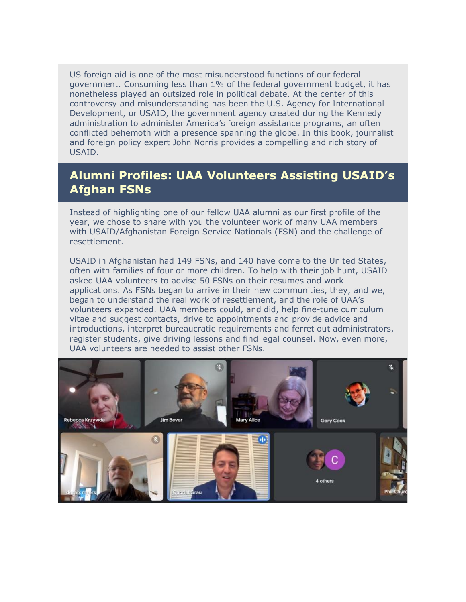US foreign aid is one of the most misunderstood functions of our federal government. Consuming less than 1% of the federal government budget, it has nonetheless played an outsized role in political debate. At the center of this controversy and misunderstanding has been the U.S. Agency for International Development, or USAID, the government agency created during the Kennedy administration to administer America's foreign assistance programs, an often conflicted behemoth with a presence spanning the globe. In this book, journalist and foreign policy expert John Norris provides a compelling and rich story of USAID.

#### **Alumni Profiles: UAA Volunteers Assisting USAID's Afghan FSNs**

Instead of highlighting one of our fellow UAA alumni as our first profile of the year, we chose to share with you the volunteer work of many UAA members with USAID/Afghanistan Foreign Service Nationals (FSN) and the challenge of resettlement.

USAID in Afghanistan had 149 FSNs, and 140 have come to the United States, often with families of four or more children. To help with their job hunt, USAID asked UAA volunteers to advise 50 FSNs on their resumes and work applications. As FSNs began to arrive in their new communities, they, and we, began to understand the real work of resettlement, and the role of UAA's volunteers expanded. UAA members could, and did, help fine-tune curriculum vitae and suggest contacts, drive to appointments and provide advice and introductions, interpret bureaucratic requirements and ferret out administrators, register students, give driving lessons and find legal counsel. Now, even more, UAA volunteers are needed to assist other FSNs.

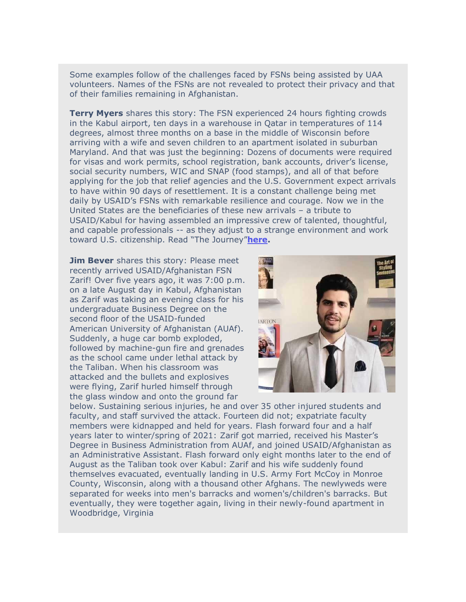Some examples follow of the challenges faced by FSNs being assisted by UAA volunteers. Names of the FSNs are not revealed to protect their privacy and that of their families remaining in Afghanistan.

**Terry Myers** shares this story: The FSN experienced 24 hours fighting crowds in the Kabul airport, ten days in a warehouse in Qatar in temperatures of 114 degrees, almost three months on a base in the middle of Wisconsin before arriving with a wife and seven children to an apartment isolated in suburban Maryland. And that was just the beginning: Dozens of documents were required for visas and work permits, school registration, bank accounts, driver's license, social security numbers, WIC and SNAP (food stamps), and all of that before applying for the job that relief agencies and the U.S. Government expect arrivals to have within 90 days of resettlement. It is a constant challenge being met daily by USAID's FSNs with remarkable resilience and courage. Now we in the United States are the beneficiaries of these new arrivals – a tribute to USAID/Kabul for having assembled an impressive crew of talented, thoughtful, and capable professionals -- as they adjust to a strange environment and work toward U.S. citizenship. Read "The Journey"**[here.](https://na01.safelinks.protection.outlook.com/?url=https%3A%2F%2Fr20.rs6.net%2Ftn.jsp%3Ff%3D001jD6mFBLMW7Jq9EoLnv8caVRiy7YY0YXutCNU7v45oaAjTUKLUyDoojK97gGqrlul6tbF9Uve6FsBA2ifkuvO2u6p-NEMqW2-ufbb-duc824Kb-QQ7g5C9_P4BAVVqyQbaVoih93eJY7GdCzTBc_Nd34PwUF7fk-q5Mv4dm7of4GaBWo4ivgFP4MFfyqqCsKf4rQJra9YF_RrL2DWRWxGCuXT0231q_dHNLh5UIyBgydf7TBGkniPxWbh8iXsxjtp%26c%3DnRs1kFnEWB8P0-vJ-kYzoLLXdqJeeAuZWNq6Gdm5EGxcprxm5WQx6w%3D%3D%26ch%3D9A-btHemjeNBmcToTpNz6CjyicMu13d-ruVUX4j8q4mYwA8YCkBkmg%3D%3D&data=04%7C01%7C%7Cb3ff3c9bb29e4d2193d308d9cef3c17e%7C84df9e7fe9f640afb435aaaaaaaaaaaa%7C1%7C0%7C637768368603922403%7CUnknown%7CTWFpbGZsb3d8eyJWIjoiMC4wLjAwMDAiLCJQIjoiV2luMzIiLCJBTiI6Ik1haWwiLCJXVCI6Mn0%3D%7C3000&sdata=yAK53htHo9RLaJ2P29RlwFTeaCBZ2IpfkkeyJb9R%2FUs%3D&reserved=0)**

**Jim Bever** shares this story: Please meet recently arrived USAID/Afghanistan FSN Zarif! Over five years ago, it was 7:00 p.m. on a late August day in Kabul, Afghanistan as Zarif was taking an evening class for his undergraduate Business Degree on the second floor of the USAID-funded American University of Afghanistan (AUAf). Suddenly, a huge car bomb exploded, followed by machine-gun fire and grenades as the school came under lethal attack by the Taliban. When his classroom was attacked and the bullets and explosives were flying, Zarif hurled himself through the glass window and onto the ground far



below. Sustaining serious injuries, he and over 35 other injured students and faculty, and staff survived the attack. Fourteen did not; expatriate faculty members were kidnapped and held for years. Flash forward four and a half years later to winter/spring of 2021: Zarif got married, received his Master's Degree in Business Administration from AUAf, and joined USAID/Afghanistan as an Administrative Assistant. Flash forward only eight months later to the end of August as the Taliban took over Kabul: Zarif and his wife suddenly found themselves evacuated, eventually landing in U.S. Army Fort McCoy in Monroe County, Wisconsin, along with a thousand other Afghans. The newlyweds were separated for weeks into men's barracks and women's/children's barracks. But eventually, they were together again, living in their newly-found apartment in Woodbridge, Virginia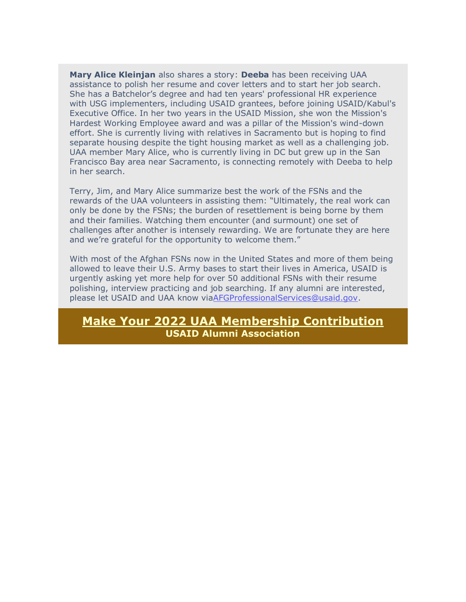**Mary Alice Kleinjan** also shares a story: **Deeba** has been receiving UAA assistance to polish her resume and cover letters and to start her job search. She has a Batchelor's degree and had ten years' professional HR experience with USG implementers, including USAID grantees, before joining USAID/Kabul's Executive Office. In her two years in the USAID Mission, she won the Mission's Hardest Working Employee award and was a pillar of the Mission's wind-down effort. She is currently living with relatives in Sacramento but is hoping to find separate housing despite the tight housing market as well as a challenging job. UAA member Mary Alice, who is currently living in DC but grew up in the San Francisco Bay area near Sacramento, is connecting remotely with Deeba to help in her search.

Terry, Jim, and Mary Alice summarize best the work of the FSNs and the rewards of the UAA volunteers in assisting them: "Ultimately, the real work can only be done by the FSNs; the burden of resettlement is being borne by them and their families. Watching them encounter (and surmount) one set of challenges after another is intensely rewarding. We are fortunate they are here and we're grateful for the opportunity to welcome them."

With most of the Afghan FSNs now in the United States and more of them being allowed to leave their U.S. Army bases to start their lives in America, USAID is urgently asking yet more help for over 50 additional FSNs with their resume polishing, interview practicing and job searching. If any alumni are interested, please let USAID and UAA know vi[aAFGProfessionalServices@usaid.gov.](mailto:AFGProfessionalServices@usaid.gov)

#### **[Make Your 2022 UAA Membership Contribution](https://na01.safelinks.protection.outlook.com/?url=https%3A%2F%2Fr20.rs6.net%2Ftn.jsp%3Ff%3D001pzhyMknFsGDs51LH8jU44GWeY9PYBgLvvASPeLB47A30UwfqTcDhjNcp3MpMWizfsSM-1_kdWzV3n2vtU3C1Zfy5kHdryPBI5yAn-BVAt0BG-CbkFSgu2HI3asJNvPB_qHs9g5dn2EvyZR711S1jFVZvq5oWL87RVovjXm1dwx2ssFCHuybwV374GxfCt2s-APv3yb1qjxWXss5PAINWHofvuIZIjNcC%26c%3Dj5wcQBG2as69ZtmyFqMTodS822ot07MhdFV9wYmPomUXhIt0cfKgDA%3D%3D%26ch%3DLiOT25L_SsREhVdfobVMwrTGttUkyrKm24u79EWxxVuvbMTtrDGqgw%3D%3D&data=04%7C01%7C%7Cb3ff3c9bb29e4d2193d308d9cef3c17e%7C84df9e7fe9f640afb435aaaaaaaaaaaa%7C1%7C0%7C637768368603922403%7CUnknown%7CTWFpbGZsb3d8eyJWIjoiMC4wLjAwMDAiLCJQIjoiV2luMzIiLCJBTiI6Ik1haWwiLCJXVCI6Mn0%3D%7C3000&sdata=MEnnemnbpKnqZXAVW7%2B%2F3AXWxN%2F9s5g2rFJAg6pew%2FQ%3D&reserved=0) USAID Alumni Association**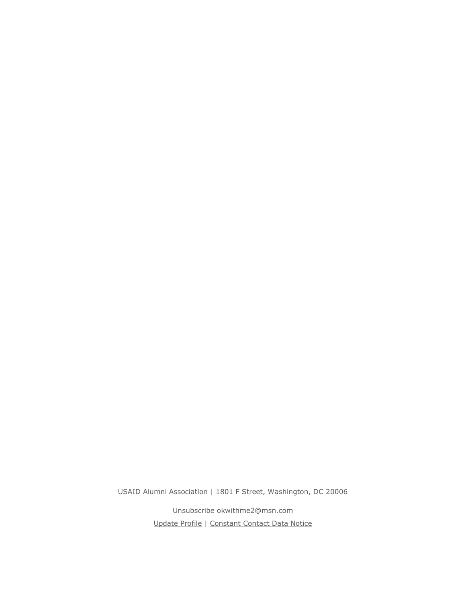USAID Alumni Association | 1801 F Street, Washington, DC 20006

[Unsubscribe okwithme2@msn.com](https://na01.safelinks.protection.outlook.com/?url=https%3A%2F%2Fvisitor.constantcontact.com%2Fdo%3Fp%3Dun%26m%3D001w5rEudeGrUf8c-CrCJeR7g%253D%26ch%3D1f8c3980-335f-11e3-bb73-d4ae527b895a%26ca%3D797d9233-bb30-4ccf-9856-07409d5d978f&data=04%7C01%7C%7Cb3ff3c9bb29e4d2193d308d9cef3c17e%7C84df9e7fe9f640afb435aaaaaaaaaaaa%7C1%7C0%7C637768368603922403%7CUnknown%7CTWFpbGZsb3d8eyJWIjoiMC4wLjAwMDAiLCJQIjoiV2luMzIiLCJBTiI6Ik1haWwiLCJXVCI6Mn0%3D%7C3000&sdata=CaH2%2BiNyekDrzhfpjrM9hgG4N9uVRXp4CffWUSkd0mk%3D&reserved=0) [Update Profile](https://na01.safelinks.protection.outlook.com/?url=https%3A%2F%2Fvisitor.constantcontact.com%2Fdo%3Fp%3Doo%26m%3D001w5rEudeGrUf8c-CrCJeR7g%253D%26ch%3D1f8c3980-335f-11e3-bb73-d4ae527b895a%26ca%3D797d9233-bb30-4ccf-9856-07409d5d978f&data=04%7C01%7C%7Cb3ff3c9bb29e4d2193d308d9cef3c17e%7C84df9e7fe9f640afb435aaaaaaaaaaaa%7C1%7C0%7C637768368603922403%7CUnknown%7CTWFpbGZsb3d8eyJWIjoiMC4wLjAwMDAiLCJQIjoiV2luMzIiLCJBTiI6Ik1haWwiLCJXVCI6Mn0%3D%7C3000&sdata=1EmIGupkPt2SAjUmtJCJ%2FnSpxybvTwM40uW7cvq65QA%3D&reserved=0) | [Constant Contact Data Notice](https://na01.safelinks.protection.outlook.com/?url=https%3A%2F%2Fwww.constantcontact.com%2Flegal%2Fcustomer-contact-data-notice&data=04%7C01%7C%7Cb3ff3c9bb29e4d2193d308d9cef3c17e%7C84df9e7fe9f640afb435aaaaaaaaaaaa%7C1%7C0%7C637768368603922403%7CUnknown%7CTWFpbGZsb3d8eyJWIjoiMC4wLjAwMDAiLCJQIjoiV2luMzIiLCJBTiI6Ik1haWwiLCJXVCI6Mn0%3D%7C3000&sdata=cc%2FW5kVgovO565p8G49419XhLJtiATYDftV8KkLNqhU%3D&reserved=0)